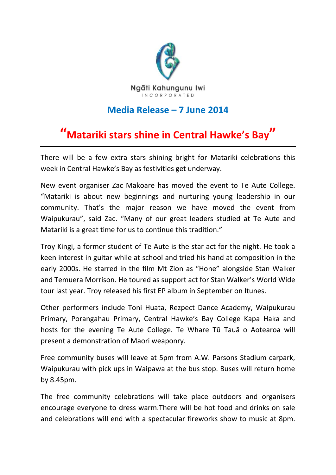

## **Media Release – 7 June 2014**

# **"Matariki stars shine in Central Hawke's Bay"**

There will be a few extra stars shining bright for Matariki celebrations this week in Central Hawke's Bay as festivities get underway.

New event organiser Zac Makoare has moved the event to Te Aute College. "Matariki is about new beginnings and nurturing young leadership in our community. That's the major reason we have moved the event from Waipukurau", said Zac. "Many of our great leaders studied at Te Aute and Matariki is a great time for us to continue this tradition."

Troy Kingi, a former student of Te Aute is the star act for the night. He took a keen interest in guitar while at school and tried his hand at composition in the early 2000s. He starred in the film Mt Zion as "Hone" alongside Stan Walker and Temuera Morrison. He toured as support act for Stan Walker's World Wide tour last year. Troy released his first EP album in September on Itunes.

Other performers include Toni Huata, Rezpect Dance Academy, Waipukurau Primary, Porangahau Primary, Central Hawke's Bay College Kapa Haka and hosts for the evening Te Aute College. Te Whare Tū Tauā o Aotearoa will present a demonstration of Maori weaponry.

Free community buses will leave at 5pm from A.W. Parsons Stadium carpark, Waipukurau with pick ups in Waipawa at the bus stop. Buses will return home by 8.45pm.

The free community celebrations will take place outdoors and organisers encourage everyone to dress warm.There will be hot food and drinks on sale and celebrations will end with a spectacular fireworks show to music at 8pm.